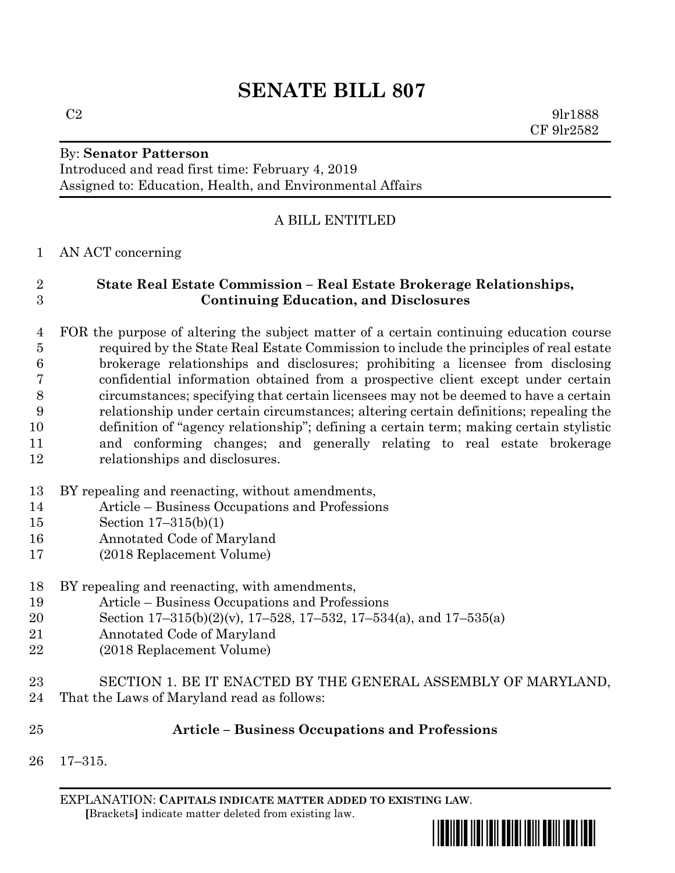By: **Senator Patterson**

Introduced and read first time: February 4, 2019 Assigned to: Education, Health, and Environmental Affairs

# A BILL ENTITLED

### AN ACT concerning

## **State Real Estate Commission – Real Estate Brokerage Relationships, Continuing Education, and Disclosures**

 FOR the purpose of altering the subject matter of a certain continuing education course required by the State Real Estate Commission to include the principles of real estate brokerage relationships and disclosures; prohibiting a licensee from disclosing confidential information obtained from a prospective client except under certain circumstances; specifying that certain licensees may not be deemed to have a certain relationship under certain circumstances; altering certain definitions; repealing the definition of "agency relationship"; defining a certain term; making certain stylistic and conforming changes; and generally relating to real estate brokerage relationships and disclosures.

- BY repealing and reenacting, without amendments,
- Article Business Occupations and Professions
- Section 17–315(b)(1)
- Annotated Code of Maryland
- (2018 Replacement Volume)

# BY repealing and reenacting, with amendments,

- Article Business Occupations and Professions
- Section 17–315(b)(2)(v), 17–528, 17–532, 17–534(a), and 17–535(a)
- Annotated Code of Maryland
- (2018 Replacement Volume)
- SECTION 1. BE IT ENACTED BY THE GENERAL ASSEMBLY OF MARYLAND, That the Laws of Maryland read as follows:

# **Article – Business Occupations and Professions**

17–315.

EXPLANATION: **CAPITALS INDICATE MATTER ADDED TO EXISTING LAW**.  **[**Brackets**]** indicate matter deleted from existing law.



 $C2$  9lr1888 CF 9lr2582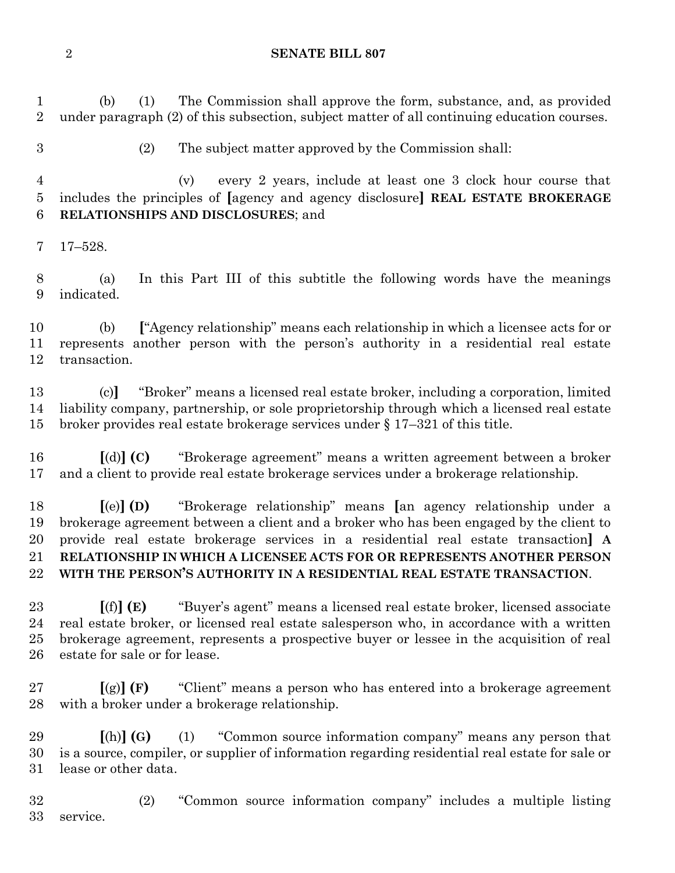(b) (1) The Commission shall approve the form, substance, and, as provided under paragraph (2) of this subsection, subject matter of all continuing education courses.

(2) The subject matter approved by the Commission shall:

 (v) every 2 years, include at least one 3 clock hour course that includes the principles of **[**agency and agency disclosure**] REAL ESTATE BROKERAGE RELATIONSHIPS AND DISCLOSURES**; and

17–528.

 (a) In this Part III of this subtitle the following words have the meanings indicated.

 (b) **[**"Agency relationship" means each relationship in which a licensee acts for or represents another person with the person's authority in a residential real estate transaction.

 (c)**]** "Broker" means a licensed real estate broker, including a corporation, limited liability company, partnership, or sole proprietorship through which a licensed real estate broker provides real estate brokerage services under § 17–321 of this title.

 **[**(d)**] (C)** "Brokerage agreement" means a written agreement between a broker and a client to provide real estate brokerage services under a brokerage relationship.

 **[**(e)**] (D)** "Brokerage relationship" means **[**an agency relationship under a brokerage agreement between a client and a broker who has been engaged by the client to provide real estate brokerage services in a residential real estate transaction**] A RELATIONSHIP IN WHICH A LICENSEE ACTS FOR OR REPRESENTS ANOTHER PERSON WITH THE PERSON'S AUTHORITY IN A RESIDENTIAL REAL ESTATE TRANSACTION**.

 **[**(f)**] (E)** "Buyer's agent" means a licensed real estate broker, licensed associate real estate broker, or licensed real estate salesperson who, in accordance with a written brokerage agreement, represents a prospective buyer or lessee in the acquisition of real estate for sale or for lease.

 **[**(g)**] (F)** "Client" means a person who has entered into a brokerage agreement with a broker under a brokerage relationship.

 **[**(h)**] (G)** (1) "Common source information company" means any person that is a source, compiler, or supplier of information regarding residential real estate for sale or lease or other data.

 (2) "Common source information company" includes a multiple listing service.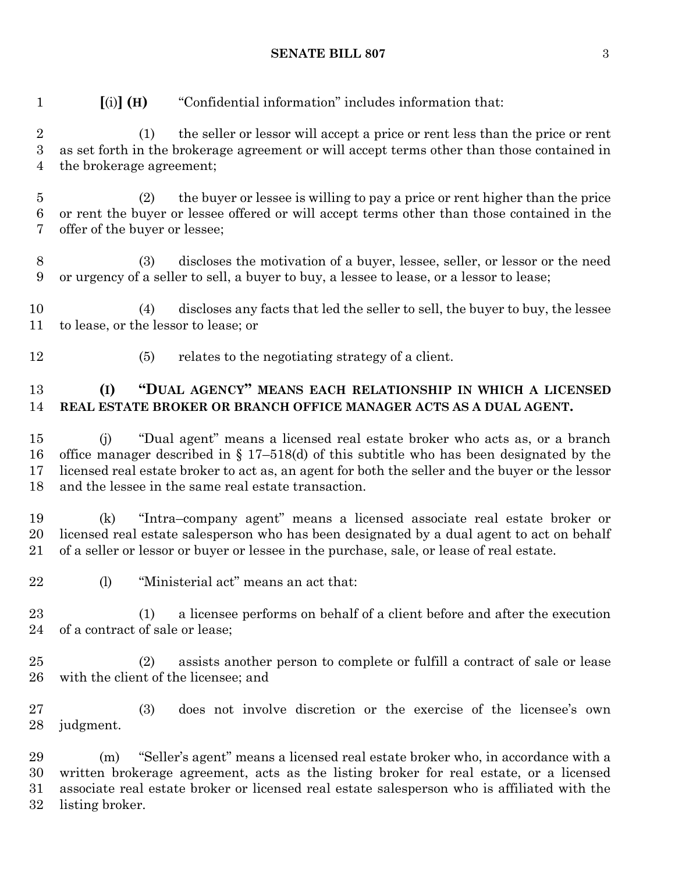(1) the seller or lessor will accept a price or rent less than the price or rent as set forth in the brokerage agreement or will accept terms other than those contained in the brokerage agreement; (2) the buyer or lessee is willing to pay a price or rent higher than the price or rent the buyer or lessee offered or will accept terms other than those contained in the offer of the buyer or lessee; (3) discloses the motivation of a buyer, lessee, seller, or lessor or the need or urgency of a seller to sell, a buyer to buy, a lessee to lease, or a lessor to lease; (4) discloses any facts that led the seller to sell, the buyer to buy, the lessee to lease, or the lessor to lease; or (5) relates to the negotiating strategy of a client. **(I) "DUAL AGENCY" MEANS EACH RELATIONSHIP IN WHICH A LICENSED REAL ESTATE BROKER OR BRANCH OFFICE MANAGER ACTS AS A DUAL AGENT.** (j) "Dual agent" means a licensed real estate broker who acts as, or a branch office manager described in § 17–518(d) of this subtitle who has been designated by the licensed real estate broker to act as, an agent for both the seller and the buyer or the lessor and the lessee in the same real estate transaction. (k) "Intra–company agent" means a licensed associate real estate broker or licensed real estate salesperson who has been designated by a dual agent to act on behalf of a seller or lessor or buyer or lessee in the purchase, sale, or lease of real estate. 22 (l) "Ministerial act" means an act that: (1) a licensee performs on behalf of a client before and after the execution of a contract of sale or lease; (2) assists another person to complete or fulfill a contract of sale or lease with the client of the licensee; and (3) does not involve discretion or the exercise of the licensee's own judgment. (m) "Seller's agent" means a licensed real estate broker who, in accordance with a written brokerage agreement, acts as the listing broker for real estate, or a licensed associate real estate broker or licensed real estate salesperson who is affiliated with the listing broker.

#### **SENATE BILL 807** 3

**[**(i)**] (H)** "Confidential information" includes information that: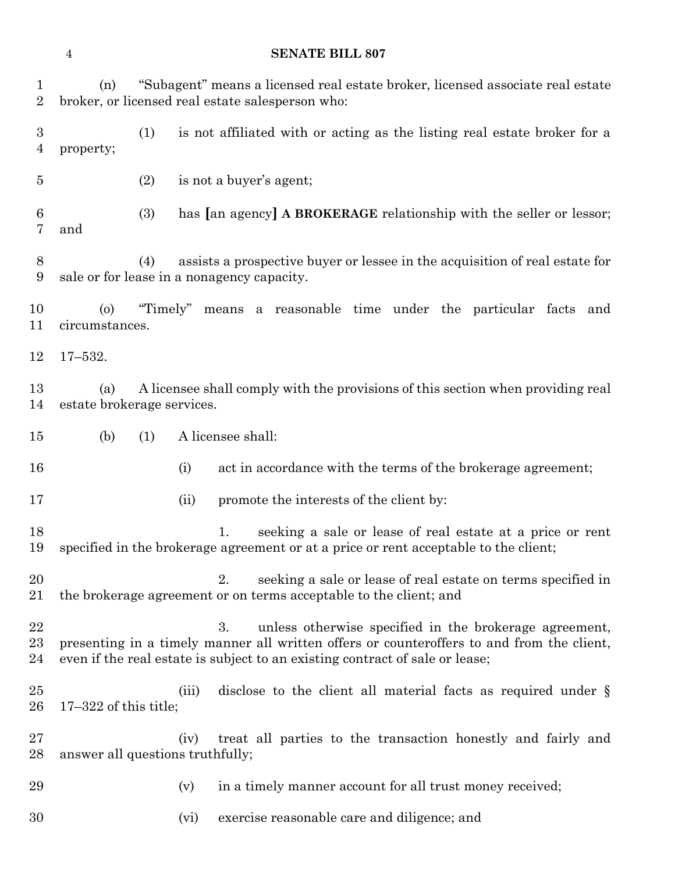(n) "Subagent" means a licensed real estate broker, licensed associate real estate broker, or licensed real estate salesperson who: (1) is not affiliated with or acting as the listing real estate broker for a property; (2) is not a buyer's agent; (3) has **[**an agency**] A BROKERAGE** relationship with the seller or lessor; and (4) assists a prospective buyer or lessee in the acquisition of real estate for sale or for lease in a nonagency capacity. (o) "Timely" means a reasonable time under the particular facts and circumstances. 17–532. (a) A licensee shall comply with the provisions of this section when providing real estate brokerage services. (b) (1) A licensee shall: 16 (i) act in accordance with the terms of the brokerage agreement; 17 (ii) promote the interests of the client by: 1. seeking a sale or lease of real estate at a price or rent specified in the brokerage agreement or at a price or rent acceptable to the client; 20 20 2. seeking a sale or lease of real estate on terms specified in the brokerage agreement or on terms acceptable to the client; and 3. unless otherwise specified in the brokerage agreement, presenting in a timely manner all written offers or counteroffers to and from the client, even if the real estate is subject to an existing contract of sale or lease; 25 (iii) disclose to the client all material facts as required under § 17–322 of this title; (iv) treat all parties to the transaction honestly and fairly and answer all questions truthfully;

29 (v) in a timely manner account for all trust money received;

(vi) exercise reasonable care and diligence; and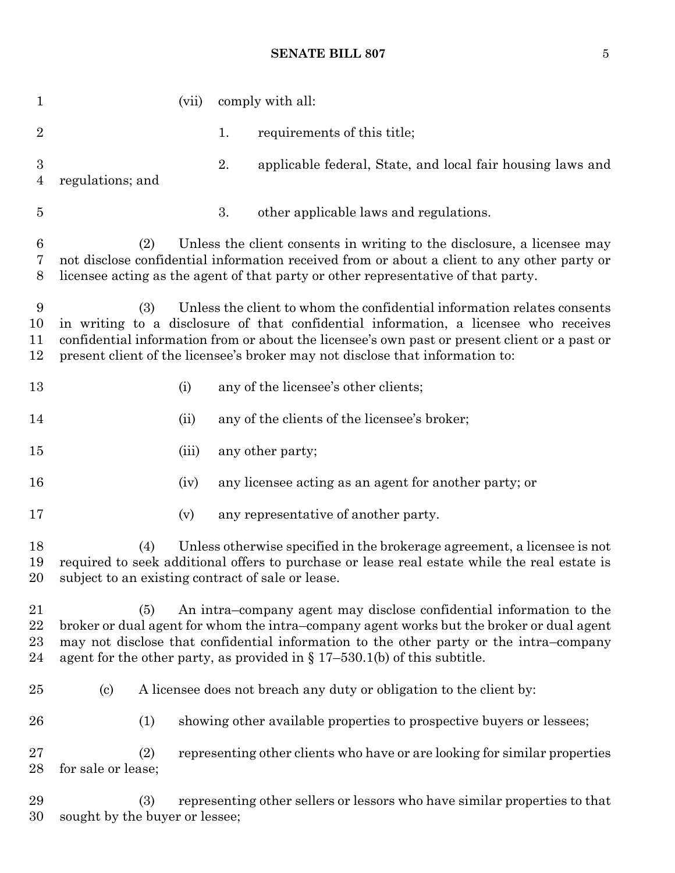### **SENATE BILL 807** 5

| $\mathbf{1}$                       | (vii)                                                                                                                                                                                                                                                                                                                                                    |    | comply with all:                                                          |
|------------------------------------|----------------------------------------------------------------------------------------------------------------------------------------------------------------------------------------------------------------------------------------------------------------------------------------------------------------------------------------------------------|----|---------------------------------------------------------------------------|
| $\sqrt{2}$                         |                                                                                                                                                                                                                                                                                                                                                          | 1. | requirements of this title;                                               |
| $\boldsymbol{3}$<br>$\overline{4}$ | regulations; and                                                                                                                                                                                                                                                                                                                                         | 2. | applicable federal, State, and local fair housing laws and                |
| $\overline{5}$                     |                                                                                                                                                                                                                                                                                                                                                          | 3. | other applicable laws and regulations.                                    |
| $6\phantom{.}6$<br>7<br>8          | (2)<br>Unless the client consents in writing to the disclosure, a licensee may<br>not disclose confidential information received from or about a client to any other party or<br>licensee acting as the agent of that party or other representative of that party.                                                                                       |    |                                                                           |
| 9<br>10<br>11<br>12                | Unless the client to whom the confidential information relates consents<br>(3)<br>in writing to a disclosure of that confidential information, a licensee who receives<br>confidential information from or about the licensee's own past or present client or a past or<br>present client of the licensee's broker may not disclose that information to: |    |                                                                           |
| 13                                 | (i)                                                                                                                                                                                                                                                                                                                                                      |    | any of the licensee's other clients;                                      |
| 14                                 | (ii)                                                                                                                                                                                                                                                                                                                                                     |    | any of the clients of the licensee's broker;                              |
| $15\,$                             | (iii)                                                                                                                                                                                                                                                                                                                                                    |    | any other party;                                                          |
| 16                                 | (iv)                                                                                                                                                                                                                                                                                                                                                     |    | any licensee acting as an agent for another party; or                     |
| 17                                 | (v)                                                                                                                                                                                                                                                                                                                                                      |    | any representative of another party.                                      |
| 18<br>19<br>20                     | Unless otherwise specified in the brokerage agreement, a licensee is not<br>(4)<br>required to seek additional offers to purchase or lease real estate while the real estate is<br>subject to an existing contract of sale or lease.                                                                                                                     |    |                                                                           |
| 21<br>22<br>$^{23}$<br>24          | An intra-company agent may disclose confidential information to the<br>(5)<br>broker or dual agent for whom the intra-company agent works but the broker or dual agent<br>may not disclose that confidential information to the other party or the intra-company<br>agent for the other party, as provided in $\S 17-530.1(b)$ of this subtitle.         |    |                                                                           |
| $25\,$                             | A licensee does not breach any duty or obligation to the client by:<br>$\left( \mathrm{c}\right)$                                                                                                                                                                                                                                                        |    |                                                                           |
| 26                                 | (1)                                                                                                                                                                                                                                                                                                                                                      |    | showing other available properties to prospective buyers or lessees;      |
| $27\,$<br>28                       | (2)<br>for sale or lease;                                                                                                                                                                                                                                                                                                                                |    | representing other clients who have or are looking for similar properties |
| 29<br>30                           | (3)<br>sought by the buyer or lessee;                                                                                                                                                                                                                                                                                                                    |    | representing other sellers or lessors who have similar properties to that |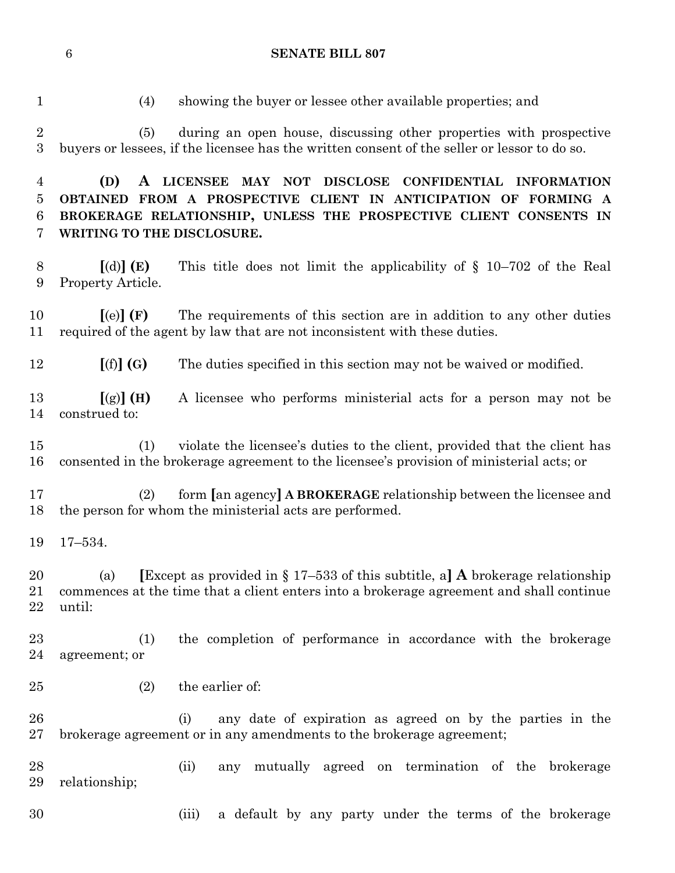(5) during an open house, discussing other properties with prospective buyers or lessees, if the licensee has the written consent of the seller or lessor to do so.

(4) showing the buyer or lessee other available properties; and

 **(D) A LICENSEE MAY NOT DISCLOSE CONFIDENTIAL INFORMATION OBTAINED FROM A PROSPECTIVE CLIENT IN ANTICIPATION OF FORMING A BROKERAGE RELATIONSHIP, UNLESS THE PROSPECTIVE CLIENT CONSENTS IN WRITING TO THE DISCLOSURE. [**(d)**] (E)** This title does not limit the applicability of § 10–702 of the Real Property Article. **[**(e)**] (F)** The requirements of this section are in addition to any other duties required of the agent by law that are not inconsistent with these duties. **[**(f)**] (G)** The duties specified in this section may not be waived or modified. **[**(g)**] (H)** A licensee who performs ministerial acts for a person may not be construed to: (1) violate the licensee's duties to the client, provided that the client has consented in the brokerage agreement to the licensee's provision of ministerial acts; or (2) form **[**an agency**] A BROKERAGE** relationship between the licensee and the person for whom the ministerial acts are performed. 17–534. (a) **[**Except as provided in § 17–533 of this subtitle, a**] A** brokerage relationship commences at the time that a client enters into a brokerage agreement and shall continue until: (1) the completion of performance in accordance with the brokerage agreement; or (2) the earlier of: (i) any date of expiration as agreed on by the parties in the brokerage agreement or in any amendments to the brokerage agreement; (ii) any mutually agreed on termination of the brokerage relationship;

(iii) a default by any party under the terms of the brokerage